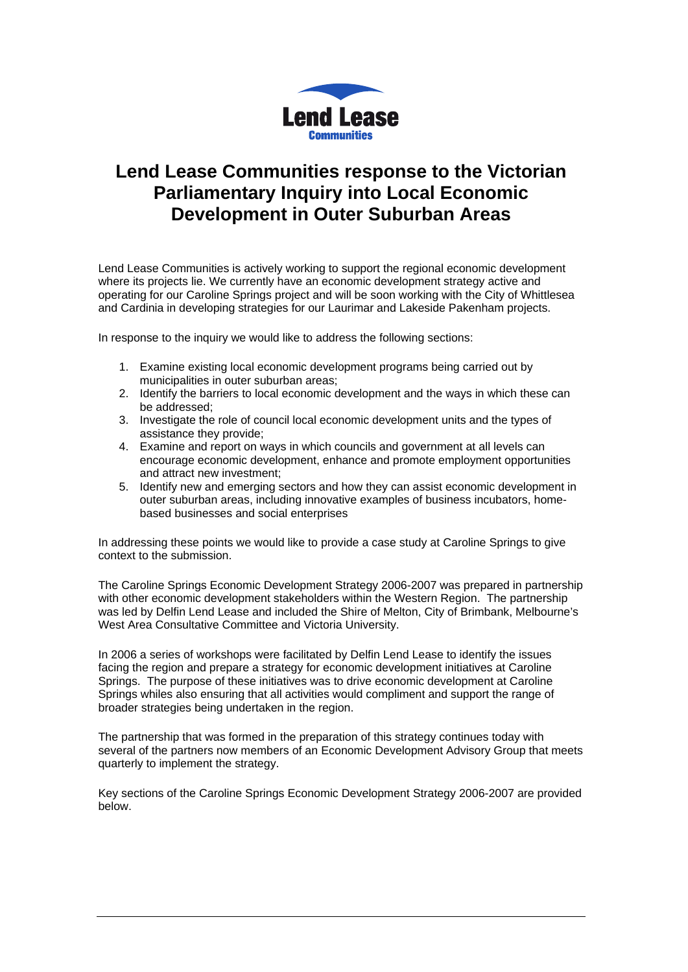

# **Lend Lease Communities response to the Victorian Parliamentary Inquiry into Local Economic Development in Outer Suburban Areas**

Lend Lease Communities is actively working to support the regional economic development where its projects lie. We currently have an economic development strategy active and operating for our Caroline Springs project and will be soon working with the City of Whittlesea and Cardinia in developing strategies for our Laurimar and Lakeside Pakenham projects.

In response to the inquiry we would like to address the following sections:

- 1. Examine existing local economic development programs being carried out by municipalities in outer suburban areas;
- 2. Identify the barriers to local economic development and the ways in which these can be addressed;
- 3. Investigate the role of council local economic development units and the types of assistance they provide;
- 4. Examine and report on ways in which councils and government at all levels can encourage economic development, enhance and promote employment opportunities and attract new investment;
- 5. Identify new and emerging sectors and how they can assist economic development in outer suburban areas, including innovative examples of business incubators, homebased businesses and social enterprises

In addressing these points we would like to provide a case study at Caroline Springs to give context to the submission.

The Caroline Springs Economic Development Strategy 2006-2007 was prepared in partnership with other economic development stakeholders within the Western Region. The partnership was led by Delfin Lend Lease and included the Shire of Melton, City of Brimbank, Melbourne's West Area Consultative Committee and Victoria University.

In 2006 a series of workshops were facilitated by Delfin Lend Lease to identify the issues facing the region and prepare a strategy for economic development initiatives at Caroline Springs. The purpose of these initiatives was to drive economic development at Caroline Springs whiles also ensuring that all activities would compliment and support the range of broader strategies being undertaken in the region.

The partnership that was formed in the preparation of this strategy continues today with several of the partners now members of an Economic Development Advisory Group that meets quarterly to implement the strategy.

Key sections of the Caroline Springs Economic Development Strategy 2006-2007 are provided below.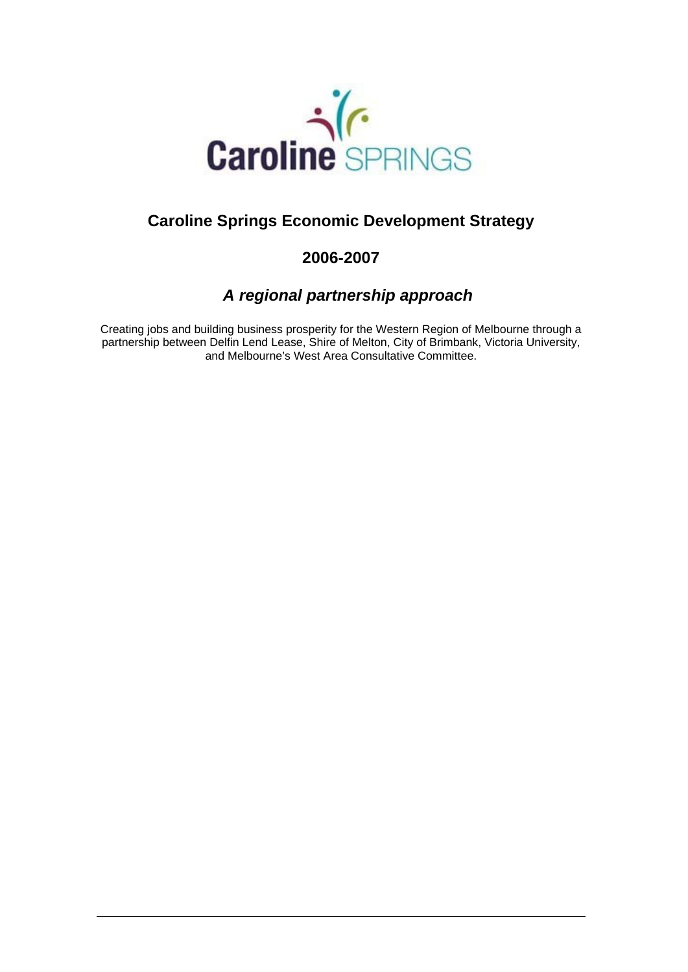

# **Caroline Springs Economic Development Strategy**

# **2006-2007**

# *A regional partnership approach*

Creating jobs and building business prosperity for the Western Region of Melbourne through a partnership between Delfin Lend Lease, Shire of Melton, City of Brimbank, Victoria University, and Melbourne's West Area Consultative Committee.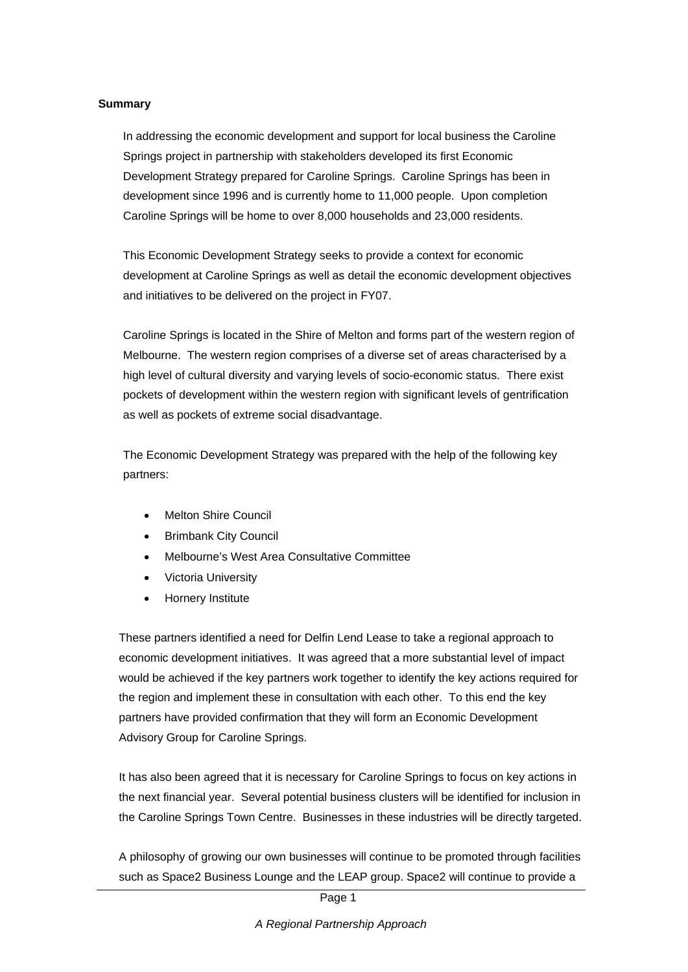#### **Summary**

In addressing the economic development and support for local business the Caroline Springs project in partnership with stakeholders developed its first Economic Development Strategy prepared for Caroline Springs. Caroline Springs has been in development since 1996 and is currently home to 11,000 people. Upon completion Caroline Springs will be home to over 8,000 households and 23,000 residents.

This Economic Development Strategy seeks to provide a context for economic development at Caroline Springs as well as detail the economic development objectives and initiatives to be delivered on the project in FY07.

Caroline Springs is located in the Shire of Melton and forms part of the western region of Melbourne. The western region comprises of a diverse set of areas characterised by a high level of cultural diversity and varying levels of socio-economic status. There exist pockets of development within the western region with significant levels of gentrification as well as pockets of extreme social disadvantage.

The Economic Development Strategy was prepared with the help of the following key partners:

- Melton Shire Council
- **Brimbank City Council**
- Melbourne's West Area Consultative Committee
- Victoria University
- Hornery Institute

These partners identified a need for Delfin Lend Lease to take a regional approach to economic development initiatives. It was agreed that a more substantial level of impact would be achieved if the key partners work together to identify the key actions required for the region and implement these in consultation with each other. To this end the key partners have provided confirmation that they will form an Economic Development Advisory Group for Caroline Springs.

It has also been agreed that it is necessary for Caroline Springs to focus on key actions in the next financial year. Several potential business clusters will be identified for inclusion in the Caroline Springs Town Centre. Businesses in these industries will be directly targeted.

A philosophy of growing our own businesses will continue to be promoted through facilities such as Space2 Business Lounge and the LEAP group. Space2 will continue to provide a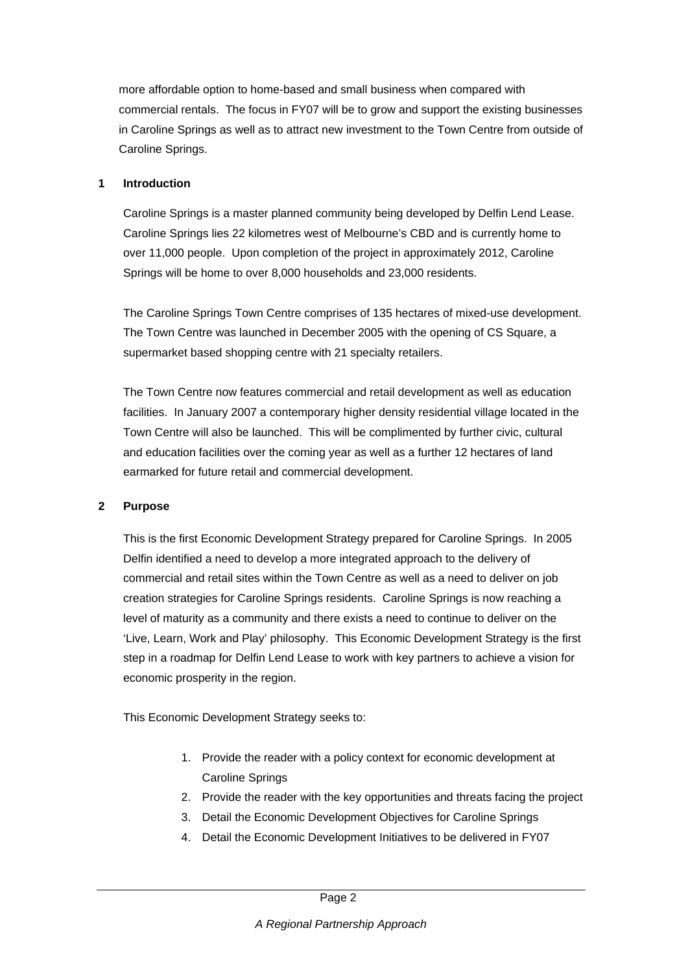more affordable option to home-based and small business when compared with commercial rentals. The focus in FY07 will be to grow and support the existing businesses in Caroline Springs as well as to attract new investment to the Town Centre from outside of Caroline Springs.

### **1 Introduction**

Caroline Springs is a master planned community being developed by Delfin Lend Lease. Caroline Springs lies 22 kilometres west of Melbourne's CBD and is currently home to over 11,000 people. Upon completion of the project in approximately 2012, Caroline Springs will be home to over 8,000 households and 23,000 residents.

The Caroline Springs Town Centre comprises of 135 hectares of mixed-use development. The Town Centre was launched in December 2005 with the opening of CS Square, a supermarket based shopping centre with 21 specialty retailers.

The Town Centre now features commercial and retail development as well as education facilities. In January 2007 a contemporary higher density residential village located in the Town Centre will also be launched. This will be complimented by further civic, cultural and education facilities over the coming year as well as a further 12 hectares of land earmarked for future retail and commercial development.

# **2 Purpose**

This is the first Economic Development Strategy prepared for Caroline Springs. In 2005 Delfin identified a need to develop a more integrated approach to the delivery of commercial and retail sites within the Town Centre as well as a need to deliver on job creation strategies for Caroline Springs residents. Caroline Springs is now reaching a level of maturity as a community and there exists a need to continue to deliver on the 'Live, Learn, Work and Play' philosophy. This Economic Development Strategy is the first step in a roadmap for Delfin Lend Lease to work with key partners to achieve a vision for economic prosperity in the region.

This Economic Development Strategy seeks to:

- 1. Provide the reader with a policy context for economic development at Caroline Springs
- 2. Provide the reader with the key opportunities and threats facing the project
- 3. Detail the Economic Development Objectives for Caroline Springs
- 4. Detail the Economic Development Initiatives to be delivered in FY07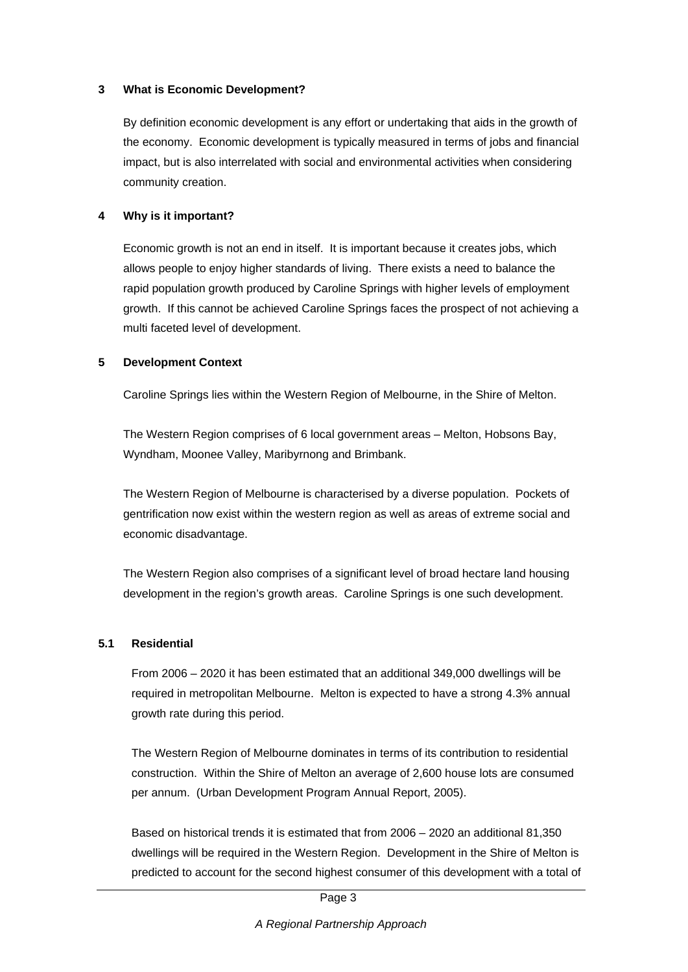#### **3 What is Economic Development?**

By definition economic development is any effort or undertaking that aids in the growth of the economy. Economic development is typically measured in terms of jobs and financial impact, but is also interrelated with social and environmental activities when considering community creation.

# **4 Why is it important?**

Economic growth is not an end in itself. It is important because it creates jobs, which allows people to enjoy higher standards of living. There exists a need to balance the rapid population growth produced by Caroline Springs with higher levels of employment growth. If this cannot be achieved Caroline Springs faces the prospect of not achieving a multi faceted level of development.

### **5 Development Context**

Caroline Springs lies within the Western Region of Melbourne, in the Shire of Melton.

The Western Region comprises of 6 local government areas – Melton, Hobsons Bay, Wyndham, Moonee Valley, Maribyrnong and Brimbank.

The Western Region of Melbourne is characterised by a diverse population. Pockets of gentrification now exist within the western region as well as areas of extreme social and economic disadvantage.

The Western Region also comprises of a significant level of broad hectare land housing development in the region's growth areas. Caroline Springs is one such development.

#### **5.1 Residential**

From 2006 – 2020 it has been estimated that an additional 349,000 dwellings will be required in metropolitan Melbourne. Melton is expected to have a strong 4.3% annual growth rate during this period.

The Western Region of Melbourne dominates in terms of its contribution to residential construction. Within the Shire of Melton an average of 2,600 house lots are consumed per annum. (Urban Development Program Annual Report, 2005).

Based on historical trends it is estimated that from 2006 – 2020 an additional 81,350 dwellings will be required in the Western Region. Development in the Shire of Melton is predicted to account for the second highest consumer of this development with a total of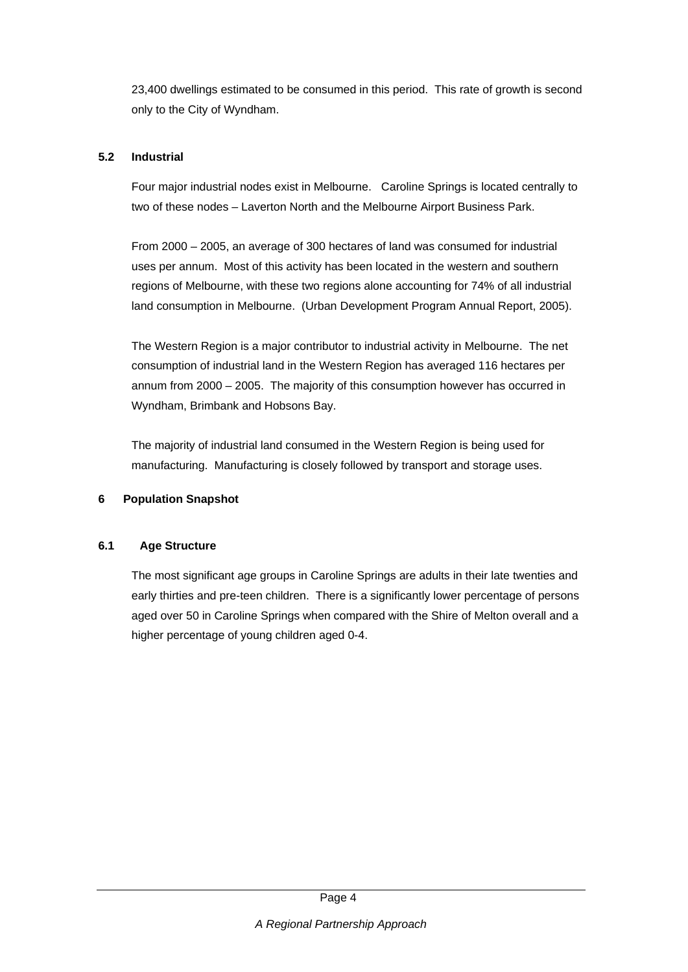23,400 dwellings estimated to be consumed in this period. This rate of growth is second only to the City of Wyndham.

# **5.2 Industrial**

Four major industrial nodes exist in Melbourne. Caroline Springs is located centrally to two of these nodes – Laverton North and the Melbourne Airport Business Park.

From 2000 – 2005, an average of 300 hectares of land was consumed for industrial uses per annum. Most of this activity has been located in the western and southern regions of Melbourne, with these two regions alone accounting for 74% of all industrial land consumption in Melbourne. (Urban Development Program Annual Report, 2005).

The Western Region is a major contributor to industrial activity in Melbourne. The net consumption of industrial land in the Western Region has averaged 116 hectares per annum from 2000 – 2005. The majority of this consumption however has occurred in Wyndham, Brimbank and Hobsons Bay.

The majority of industrial land consumed in the Western Region is being used for manufacturing. Manufacturing is closely followed by transport and storage uses.

# **6 Population Snapshot**

# **6.1 Age Structure**

The most significant age groups in Caroline Springs are adults in their late twenties and early thirties and pre-teen children. There is a significantly lower percentage of persons aged over 50 in Caroline Springs when compared with the Shire of Melton overall and a higher percentage of young children aged 0-4.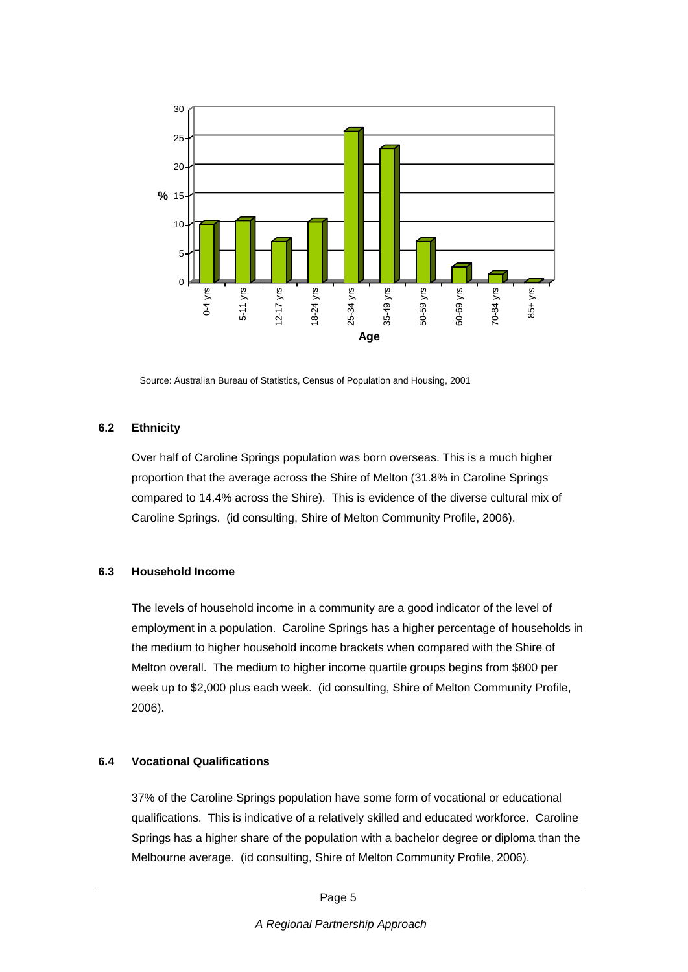

Source: Australian Bureau of Statistics, Census of Population and Housing, 2001

#### **6.2 Ethnicity**

Over half of Caroline Springs population was born overseas. This is a much higher proportion that the average across the Shire of Melton (31.8% in Caroline Springs compared to 14.4% across the Shire). This is evidence of the diverse cultural mix of Caroline Springs. (id consulting, Shire of Melton Community Profile, 2006).

# **6.3 Household Income**

The levels of household income in a community are a good indicator of the level of employment in a population. Caroline Springs has a higher percentage of households in the medium to higher household income brackets when compared with the Shire of Melton overall. The medium to higher income quartile groups begins from \$800 per week up to \$2,000 plus each week. (id consulting, Shire of Melton Community Profile, 2006).

#### **6.4 Vocational Qualifications**

37% of the Caroline Springs population have some form of vocational or educational qualifications. This is indicative of a relatively skilled and educated workforce. Caroline Springs has a higher share of the population with a bachelor degree or diploma than the Melbourne average. (id consulting, Shire of Melton Community Profile, 2006).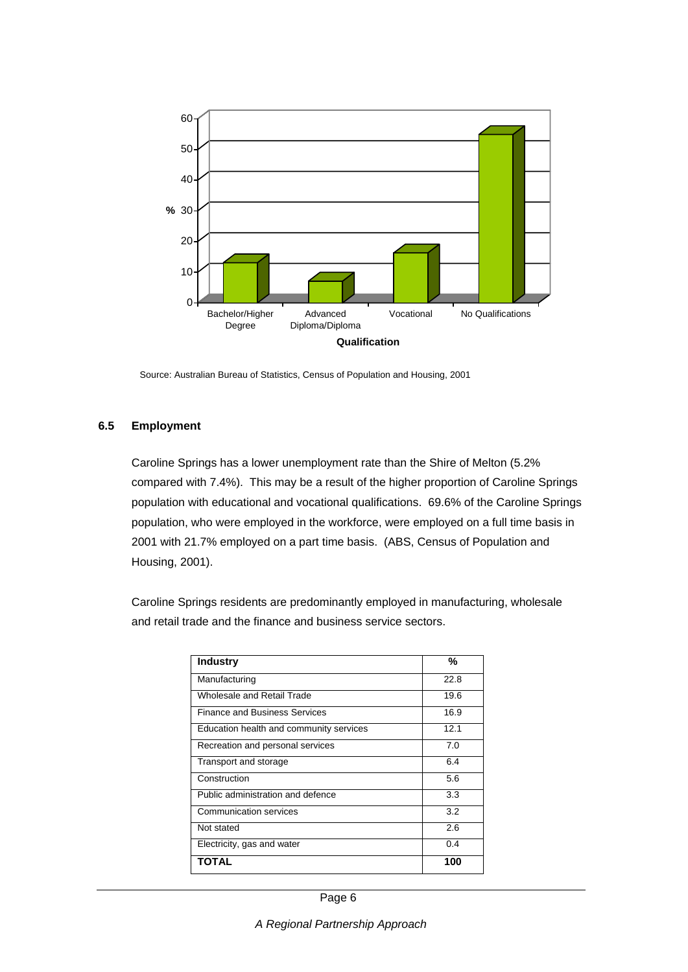

Source: Australian Bureau of Statistics, Census of Population and Housing, 2001

#### **6.5 Employment**

Caroline Springs has a lower unemployment rate than the Shire of Melton (5.2% compared with 7.4%). This may be a result of the higher proportion of Caroline Springs population with educational and vocational qualifications. 69.6% of the Caroline Springs population, who were employed in the workforce, were employed on a full time basis in 2001 with 21.7% employed on a part time basis. (ABS, Census of Population and Housing, 2001).

Caroline Springs residents are predominantly employed in manufacturing, wholesale and retail trade and the finance and business service sectors.

| <b>Industry</b>                         | %    |
|-----------------------------------------|------|
| Manufacturing                           | 22.8 |
| Wholesale and Retail Trade              | 19.6 |
| <b>Finance and Business Services</b>    | 16.9 |
| Education health and community services | 12.1 |
| Recreation and personal services        | 7.0  |
| Transport and storage                   | 6.4  |
| Construction                            | 5.6  |
| Public administration and defence       | 3.3  |
| Communication services                  | 3.2  |
| Not stated                              | 2.6  |
| Electricity, gas and water              | 0.4  |
| <b>TOTAL</b>                            | 100  |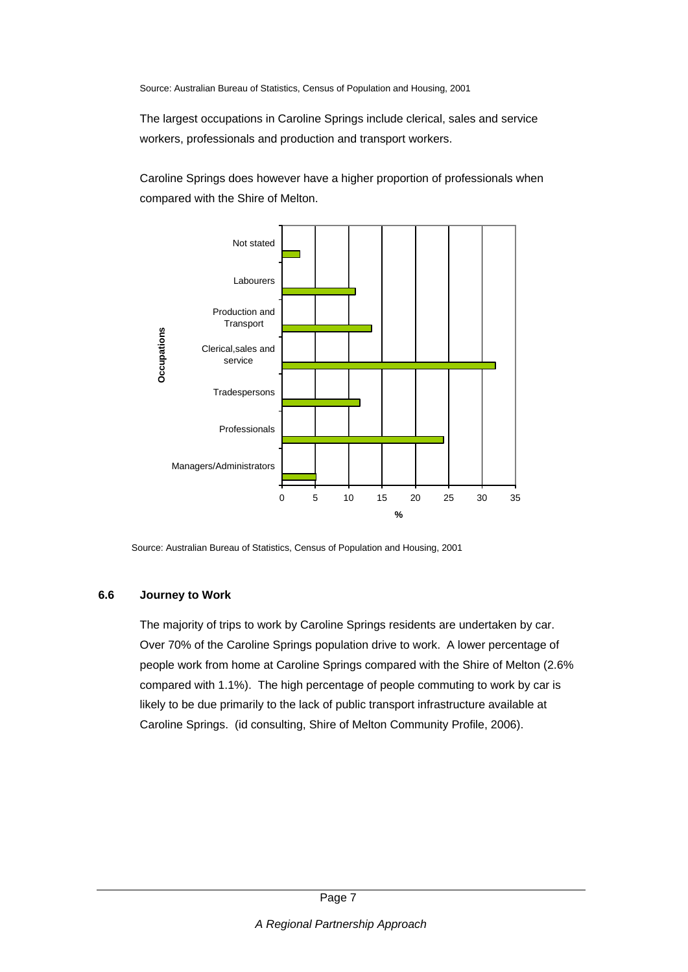Source: Australian Bureau of Statistics, Census of Population and Housing, 2001

The largest occupations in Caroline Springs include clerical, sales and service workers, professionals and production and transport workers.

Caroline Springs does however have a higher proportion of professionals when compared with the Shire of Melton.



Source: Australian Bureau of Statistics, Census of Population and Housing, 2001

#### **6.6 Journey to Work**

The majority of trips to work by Caroline Springs residents are undertaken by car. Over 70% of the Caroline Springs population drive to work. A lower percentage of people work from home at Caroline Springs compared with the Shire of Melton (2.6% compared with 1.1%). The high percentage of people commuting to work by car is likely to be due primarily to the lack of public transport infrastructure available at Caroline Springs. (id consulting, Shire of Melton Community Profile, 2006).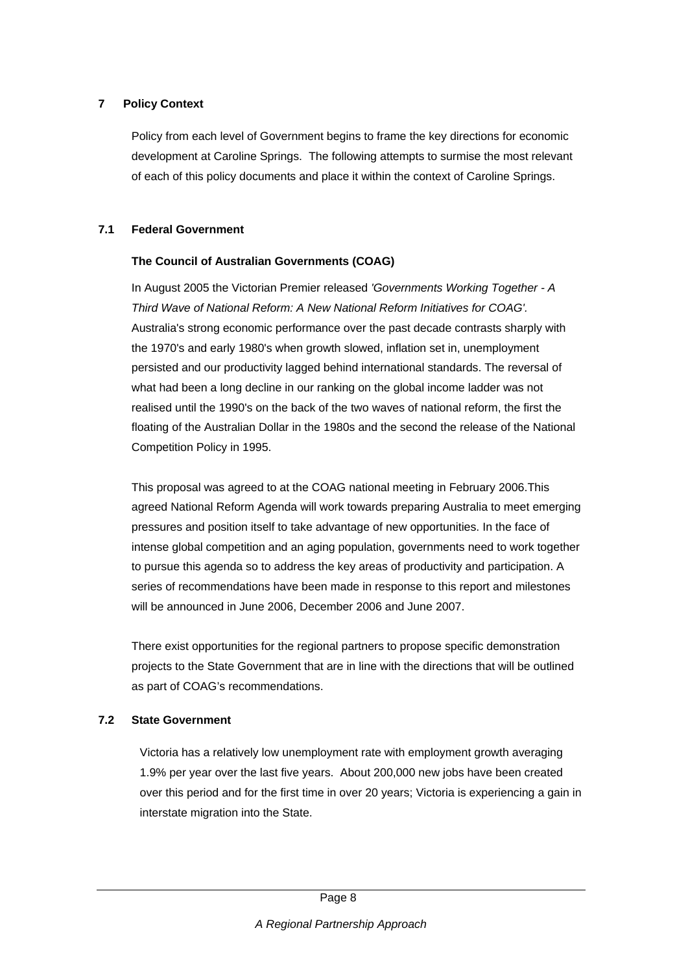# **7 Policy Context**

Policy from each level of Government begins to frame the key directions for economic development at Caroline Springs. The following attempts to surmise the most relevant of each of this policy documents and place it within the context of Caroline Springs.

# **7.1 Federal Government**

# **The Council of Australian Governments (COAG)**

In August 2005 the Victorian Premier released *'Governments Working Together - A Third Wave of National Reform: A New National Reform Initiatives for COAG'.* Australia's strong economic performance over the past decade contrasts sharply with the 1970's and early 1980's when growth slowed, inflation set in, unemployment persisted and our productivity lagged behind international standards. The reversal of what had been a long decline in our ranking on the global income ladder was not realised until the 1990's on the back of the two waves of national reform, the first the floating of the Australian Dollar in the 1980s and the second the release of the National Competition Policy in 1995.

This proposal was agreed to at the COAG national meeting in February 2006.This agreed National Reform Agenda will work towards preparing Australia to meet emerging pressures and position itself to take advantage of new opportunities. In the face of intense global competition and an aging population, governments need to work together to pursue this agenda so to address the key areas of productivity and participation. A series of recommendations have been made in response to this report and milestones will be announced in June 2006, December 2006 and June 2007.

There exist opportunities for the regional partners to propose specific demonstration projects to the State Government that are in line with the directions that will be outlined as part of COAG's recommendations.

# **7.2 State Government**

Victoria has a relatively low unemployment rate with employment growth averaging 1.9% per year over the last five years. About 200,000 new jobs have been created over this period and for the first time in over 20 years; Victoria is experiencing a gain in interstate migration into the State.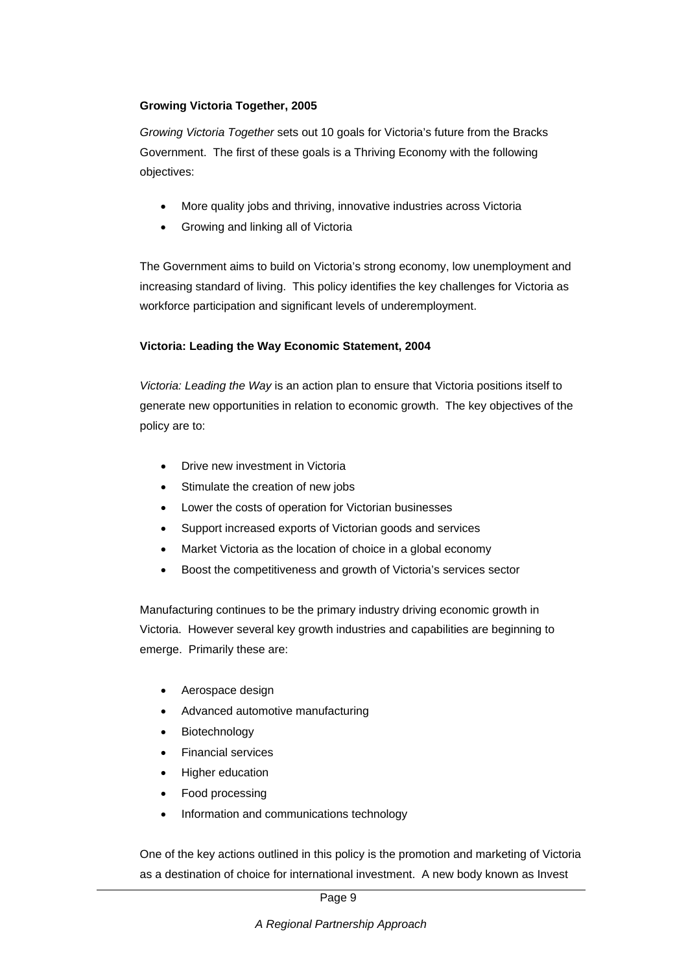### **Growing Victoria Together, 2005**

*Growing Victoria Together* sets out 10 goals for Victoria's future from the Bracks Government. The first of these goals is a Thriving Economy with the following objectives:

- More quality jobs and thriving, innovative industries across Victoria
- Growing and linking all of Victoria

The Government aims to build on Victoria's strong economy, low unemployment and increasing standard of living. This policy identifies the key challenges for Victoria as workforce participation and significant levels of underemployment.

### **Victoria: Leading the Way Economic Statement, 2004**

*Victoria: Leading the Way* is an action plan to ensure that Victoria positions itself to generate new opportunities in relation to economic growth. The key objectives of the policy are to:

- Drive new investment in Victoria
- Stimulate the creation of new jobs
- Lower the costs of operation for Victorian businesses
- Support increased exports of Victorian goods and services
- Market Victoria as the location of choice in a global economy
- Boost the competitiveness and growth of Victoria's services sector

Manufacturing continues to be the primary industry driving economic growth in Victoria. However several key growth industries and capabilities are beginning to emerge. Primarily these are:

- Aerospace design
- Advanced automotive manufacturing
- **Biotechnology**
- Financial services
- Higher education
- Food processing
- Information and communications technology

One of the key actions outlined in this policy is the promotion and marketing of Victoria as a destination of choice for international investment. A new body known as Invest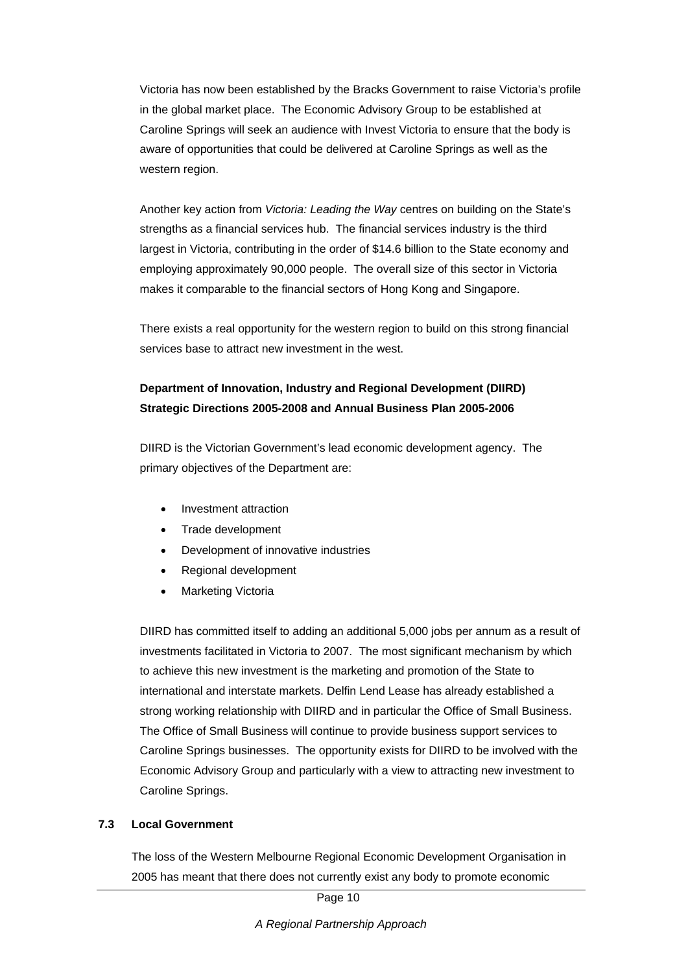Victoria has now been established by the Bracks Government to raise Victoria's profile in the global market place. The Economic Advisory Group to be established at Caroline Springs will seek an audience with Invest Victoria to ensure that the body is aware of opportunities that could be delivered at Caroline Springs as well as the western region.

Another key action from *Victoria: Leading the Way* centres on building on the State's strengths as a financial services hub. The financial services industry is the third largest in Victoria, contributing in the order of \$14.6 billion to the State economy and employing approximately 90,000 people. The overall size of this sector in Victoria makes it comparable to the financial sectors of Hong Kong and Singapore.

There exists a real opportunity for the western region to build on this strong financial services base to attract new investment in the west.

# **Department of Innovation, Industry and Regional Development (DIIRD) Strategic Directions 2005-2008 and Annual Business Plan 2005-2006**

DIIRD is the Victorian Government's lead economic development agency. The primary objectives of the Department are:

- Investment attraction
- Trade development
- Development of innovative industries
- Regional development
- Marketing Victoria

DIIRD has committed itself to adding an additional 5,000 jobs per annum as a result of investments facilitated in Victoria to 2007. The most significant mechanism by which to achieve this new investment is the marketing and promotion of the State to international and interstate markets. Delfin Lend Lease has already established a strong working relationship with DIIRD and in particular the Office of Small Business. The Office of Small Business will continue to provide business support services to Caroline Springs businesses. The opportunity exists for DIIRD to be involved with the Economic Advisory Group and particularly with a view to attracting new investment to Caroline Springs.

# **7.3 Local Government**

The loss of the Western Melbourne Regional Economic Development Organisation in 2005 has meant that there does not currently exist any body to promote economic

Page 10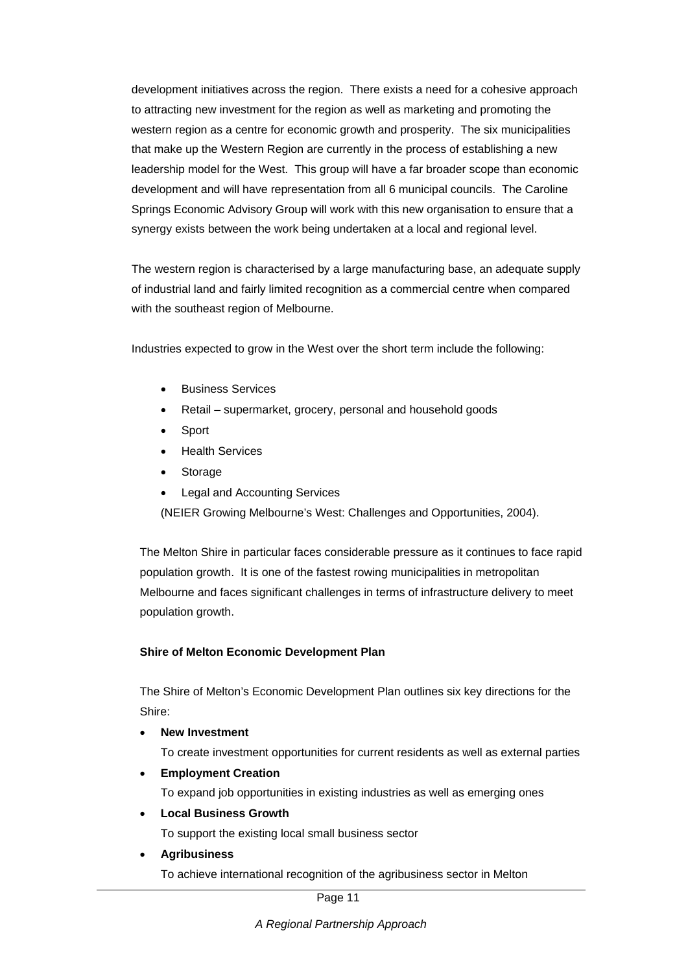development initiatives across the region. There exists a need for a cohesive approach to attracting new investment for the region as well as marketing and promoting the western region as a centre for economic growth and prosperity. The six municipalities that make up the Western Region are currently in the process of establishing a new leadership model for the West. This group will have a far broader scope than economic development and will have representation from all 6 municipal councils. The Caroline Springs Economic Advisory Group will work with this new organisation to ensure that a synergy exists between the work being undertaken at a local and regional level.

The western region is characterised by a large manufacturing base, an adequate supply of industrial land and fairly limited recognition as a commercial centre when compared with the southeast region of Melbourne.

Industries expected to grow in the West over the short term include the following:

- Business Services
- Retail supermarket, grocery, personal and household goods
- Sport
- Health Services
- **Storage**
- Legal and Accounting Services

(NEIER Growing Melbourne's West: Challenges and Opportunities, 2004).

The Melton Shire in particular faces considerable pressure as it continues to face rapid population growth. It is one of the fastest rowing municipalities in metropolitan Melbourne and faces significant challenges in terms of infrastructure delivery to meet population growth.

#### **Shire of Melton Economic Development Plan**

The Shire of Melton's Economic Development Plan outlines six key directions for the Shire:

• **New Investment** 

To create investment opportunities for current residents as well as external parties

• **Employment Creation** 

To expand job opportunities in existing industries as well as emerging ones

• **Local Business Growth** 

To support the existing local small business sector

• **Agribusiness** 

To achieve international recognition of the agribusiness sector in Melton

Page 11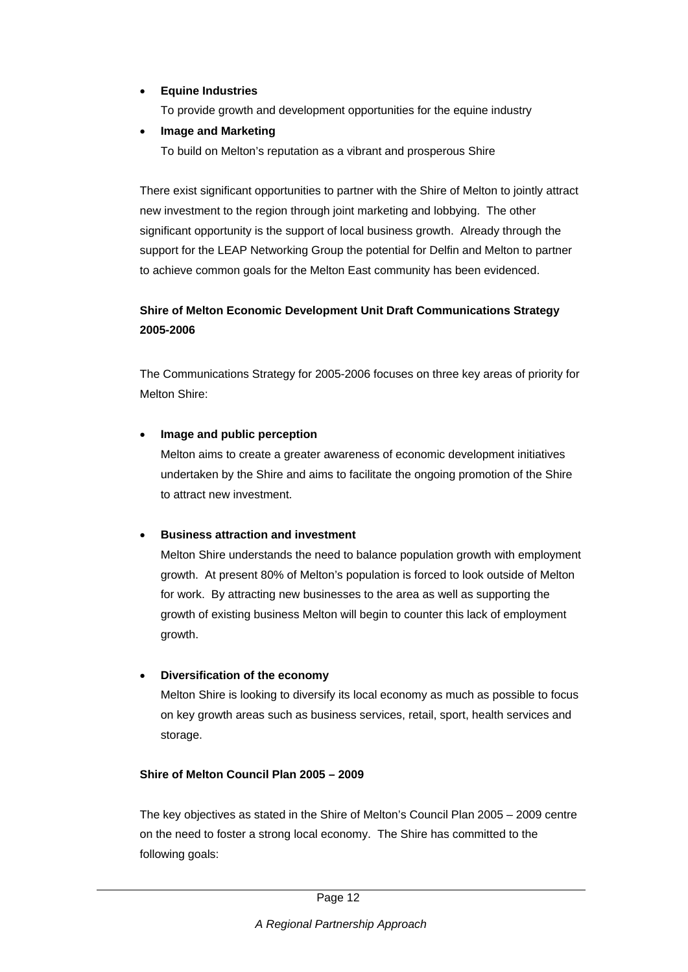# • **Equine Industries**

To provide growth and development opportunities for the equine industry

• **Image and Marketing** 

To build on Melton's reputation as a vibrant and prosperous Shire

There exist significant opportunities to partner with the Shire of Melton to jointly attract new investment to the region through joint marketing and lobbying. The other significant opportunity is the support of local business growth. Already through the support for the LEAP Networking Group the potential for Delfin and Melton to partner to achieve common goals for the Melton East community has been evidenced.

# **Shire of Melton Economic Development Unit Draft Communications Strategy 2005-2006**

The Communications Strategy for 2005-2006 focuses on three key areas of priority for Melton Shire:

### • **Image and public perception**

Melton aims to create a greater awareness of economic development initiatives undertaken by the Shire and aims to facilitate the ongoing promotion of the Shire to attract new investment.

# • **Business attraction and investment**

Melton Shire understands the need to balance population growth with employment growth. At present 80% of Melton's population is forced to look outside of Melton for work. By attracting new businesses to the area as well as supporting the growth of existing business Melton will begin to counter this lack of employment growth.

# • **Diversification of the economy**

Melton Shire is looking to diversify its local economy as much as possible to focus on key growth areas such as business services, retail, sport, health services and storage.

#### **Shire of Melton Council Plan 2005 – 2009**

The key objectives as stated in the Shire of Melton's Council Plan 2005 – 2009 centre on the need to foster a strong local economy. The Shire has committed to the following goals: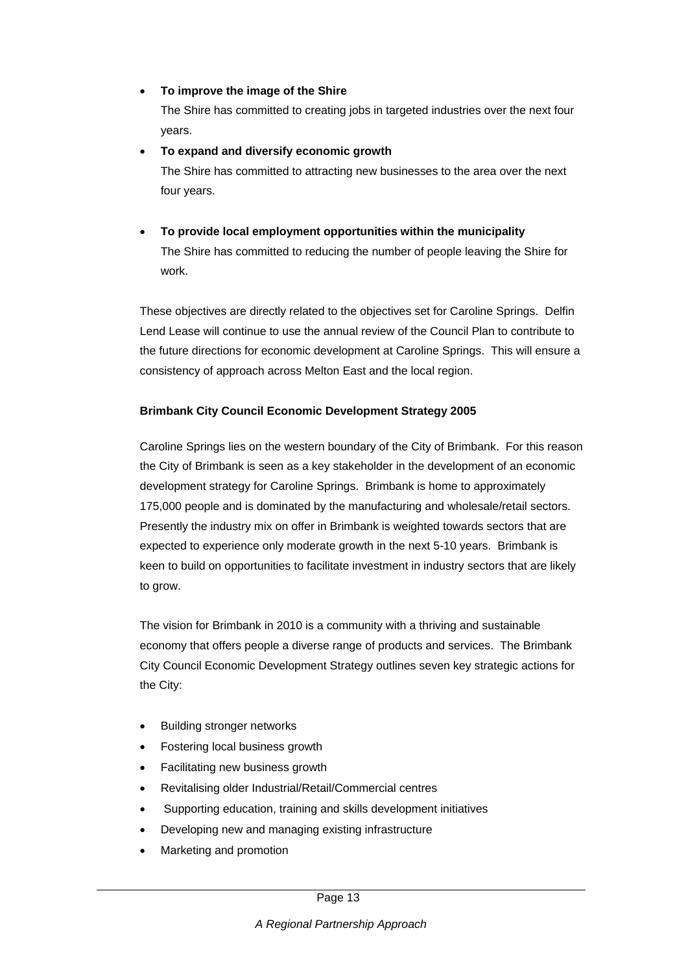### • **To improve the image of the Shire**

The Shire has committed to creating jobs in targeted industries over the next four years.

• **To expand and diversify economic growth**  The Shire has committed to attracting new businesses to the area over the next four years.

• **To provide local employment opportunities within the municipality**  The Shire has committed to reducing the number of people leaving the Shire for work.

These objectives are directly related to the objectives set for Caroline Springs. Delfin Lend Lease will continue to use the annual review of the Council Plan to contribute to the future directions for economic development at Caroline Springs. This will ensure a consistency of approach across Melton East and the local region.

# **Brimbank City Council Economic Development Strategy 2005**

Caroline Springs lies on the western boundary of the City of Brimbank. For this reason the City of Brimbank is seen as a key stakeholder in the development of an economic development strategy for Caroline Springs. Brimbank is home to approximately 175,000 people and is dominated by the manufacturing and wholesale/retail sectors. Presently the industry mix on offer in Brimbank is weighted towards sectors that are expected to experience only moderate growth in the next 5-10 years. Brimbank is keen to build on opportunities to facilitate investment in industry sectors that are likely to grow.

The vision for Brimbank in 2010 is a community with a thriving and sustainable economy that offers people a diverse range of products and services. The Brimbank City Council Economic Development Strategy outlines seven key strategic actions for the City:

- Building stronger networks
- Fostering local business growth
- Facilitating new business growth
- Revitalising older Industrial/Retail/Commercial centres
- Supporting education, training and skills development initiatives
- Developing new and managing existing infrastructure
- Marketing and promotion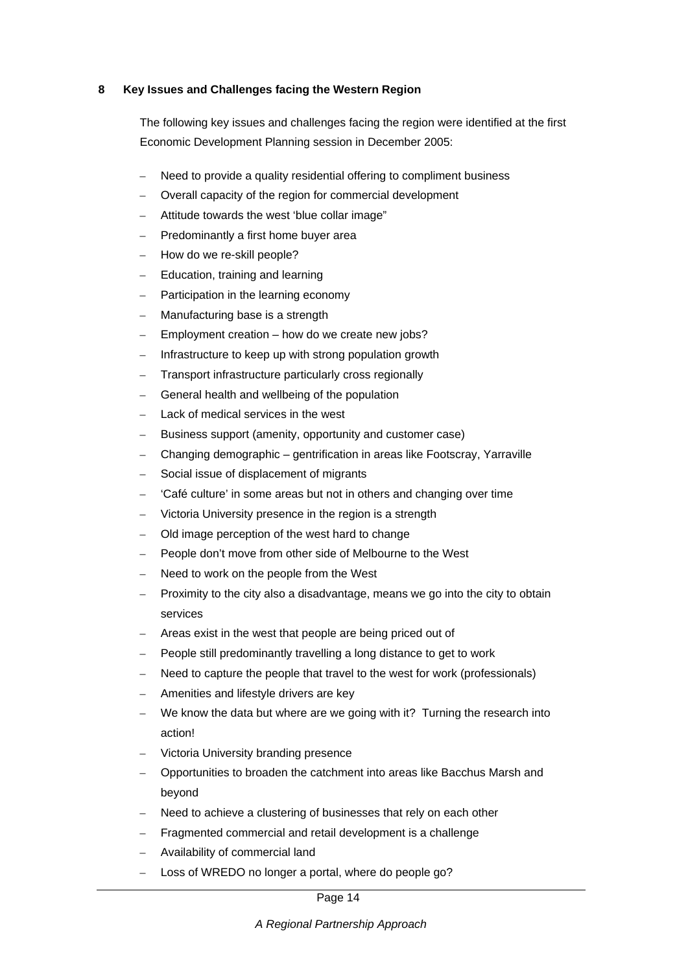#### **8 Key Issues and Challenges facing the Western Region**

The following key issues and challenges facing the region were identified at the first Economic Development Planning session in December 2005:

- Need to provide a quality residential offering to compliment business
- Overall capacity of the region for commercial development
- Attitude towards the west 'blue collar image"
- Predominantly a first home buyer area
- How do we re-skill people?
- Education, training and learning
- Participation in the learning economy
- Manufacturing base is a strength
- Employment creation how do we create new jobs?
- Infrastructure to keep up with strong population growth
- Transport infrastructure particularly cross regionally
- General health and wellbeing of the population
- Lack of medical services in the west
- Business support (amenity, opportunity and customer case)
- Changing demographic gentrification in areas like Footscray, Yarraville
- Social issue of displacement of migrants
- 'Café culture' in some areas but not in others and changing over time
- Victoria University presence in the region is a strength
- Old image perception of the west hard to change
- People don't move from other side of Melbourne to the West
- Need to work on the people from the West
- Proximity to the city also a disadvantage, means we go into the city to obtain services
- Areas exist in the west that people are being priced out of
- People still predominantly travelling a long distance to get to work
- Need to capture the people that travel to the west for work (professionals)
- Amenities and lifestyle drivers are key
- We know the data but where are we going with it? Turning the research into action!
- Victoria University branding presence
- Opportunities to broaden the catchment into areas like Bacchus Marsh and beyond
- Need to achieve a clustering of businesses that rely on each other
- Fragmented commercial and retail development is a challenge
- Availability of commercial land
- Loss of WREDO no longer a portal, where do people go?

Page 14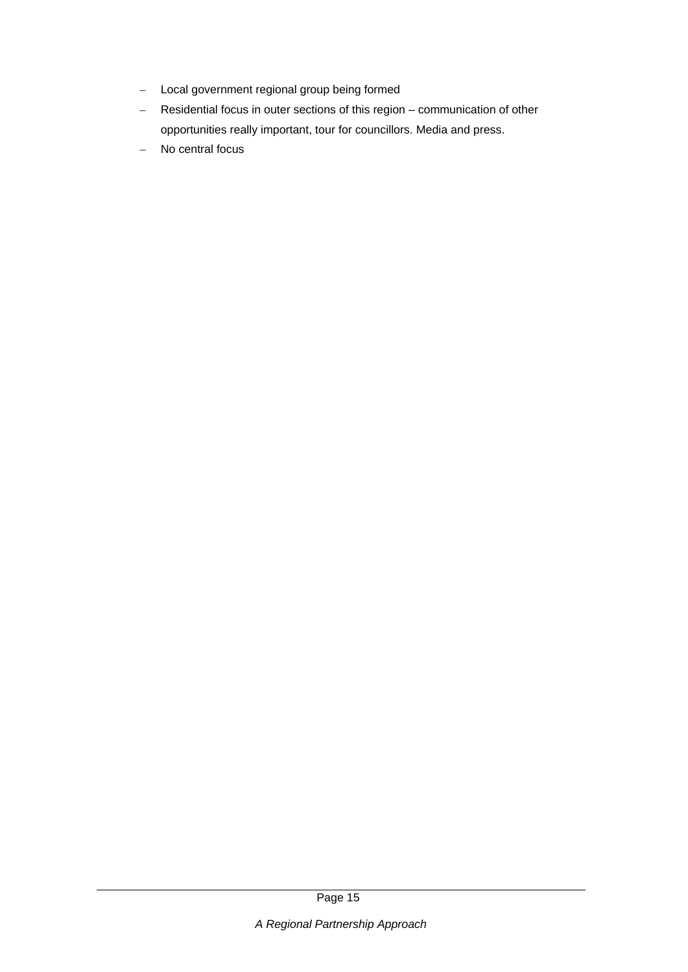- Local government regional group being formed
- Residential focus in outer sections of this region communication of other opportunities really important, tour for councillors. Media and press.
- No central focus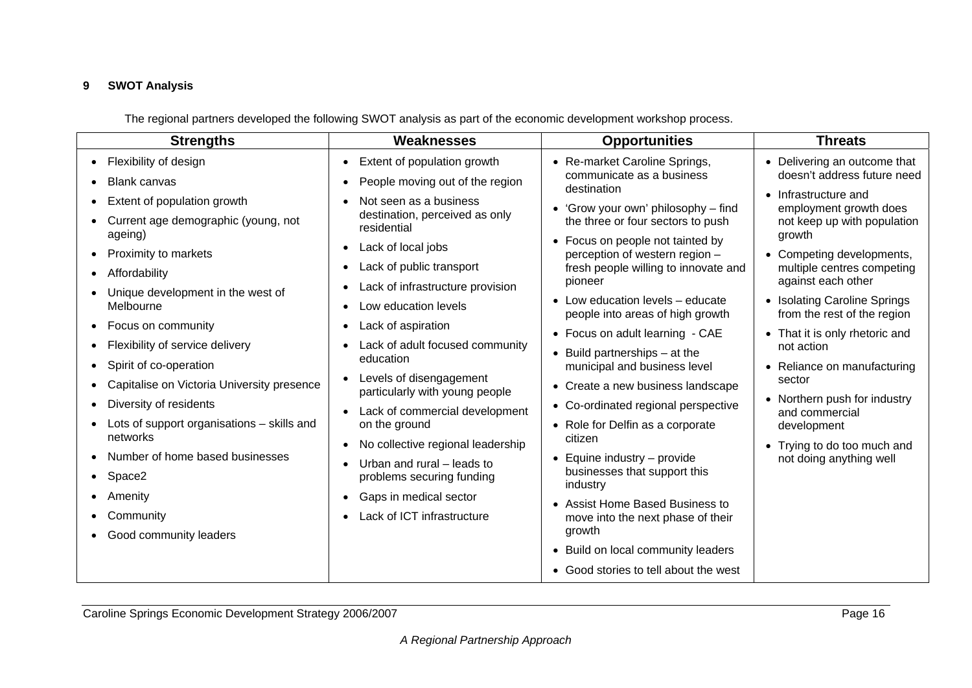# **9 SWOT Analysis**

The regional partners developed the following SWOT analysis as part of the economic development workshop process.

| <b>Strengths</b>                                                                                                                                                                                                                                                                                                                                                                                                                                                                                                                                                                                                                                                                            | <b>Weaknesses</b>                                                                                                                                                                                                                                                                                                                                                                                                                                                                                                                                                                                                                                                                                                                                                 | <b>Opportunities</b>                                                                                                                                                                                                                                                                                                                                                                                                                                                                                                                                                                                                                                                                                                                                                                                               | <b>Threats</b>                                                                                                                                                                                                                                                                                                                                                                                                                                                                                                             |
|---------------------------------------------------------------------------------------------------------------------------------------------------------------------------------------------------------------------------------------------------------------------------------------------------------------------------------------------------------------------------------------------------------------------------------------------------------------------------------------------------------------------------------------------------------------------------------------------------------------------------------------------------------------------------------------------|-------------------------------------------------------------------------------------------------------------------------------------------------------------------------------------------------------------------------------------------------------------------------------------------------------------------------------------------------------------------------------------------------------------------------------------------------------------------------------------------------------------------------------------------------------------------------------------------------------------------------------------------------------------------------------------------------------------------------------------------------------------------|--------------------------------------------------------------------------------------------------------------------------------------------------------------------------------------------------------------------------------------------------------------------------------------------------------------------------------------------------------------------------------------------------------------------------------------------------------------------------------------------------------------------------------------------------------------------------------------------------------------------------------------------------------------------------------------------------------------------------------------------------------------------------------------------------------------------|----------------------------------------------------------------------------------------------------------------------------------------------------------------------------------------------------------------------------------------------------------------------------------------------------------------------------------------------------------------------------------------------------------------------------------------------------------------------------------------------------------------------------|
| Flexibility of design<br>$\bullet$<br><b>Blank canvas</b><br>Extent of population growth<br>$\bullet$<br>Current age demographic (young, not<br>ageing)<br>Proximity to markets<br>Affordability<br>$\bullet$<br>Unique development in the west of<br>Melbourne<br>Focus on community<br>$\bullet$<br>Flexibility of service delivery<br>$\bullet$<br>Spirit of co-operation<br>$\bullet$<br>Capitalise on Victoria University presence<br>$\bullet$<br>Diversity of residents<br>$\bullet$<br>Lots of support organisations – skills and<br>networks<br>Number of home based businesses<br>$\bullet$<br>Space2<br>$\bullet$<br>Amenity<br>Community<br>Good community leaders<br>$\bullet$ | Extent of population growth<br>$\bullet$<br>People moving out of the region<br>$\bullet$<br>Not seen as a business<br>destination, perceived as only<br>residential<br>Lack of local jobs<br>$\bullet$<br>Lack of public transport<br>Lack of infrastructure provision<br>$\bullet$<br>Low education levels<br>$\bullet$<br>Lack of aspiration<br>$\bullet$<br>Lack of adult focused community<br>$\bullet$<br>education<br>Levels of disengagement<br>$\bullet$<br>particularly with young people<br>Lack of commercial development<br>$\bullet$<br>on the ground<br>No collective regional leadership<br>$\bullet$<br>Urban and rural – leads to<br>problems securing funding<br>Gaps in medical sector<br>$\bullet$<br>Lack of ICT infrastructure<br>$\bullet$ | • Re-market Caroline Springs,<br>communicate as a business<br>destination<br>• 'Grow your own' philosophy – find<br>the three or four sectors to push<br>• Focus on people not tainted by<br>perception of western region -<br>fresh people willing to innovate and<br>pioneer<br>$\bullet$ Low education levels – educate<br>people into areas of high growth<br>• Focus on adult learning - CAE<br>$\bullet$ Build partnerships $-$ at the<br>municipal and business level<br>• Create a new business landscape<br>• Co-ordinated regional perspective<br>• Role for Delfin as a corporate<br>citizen<br>$\bullet$ Equine industry – provide<br>businesses that support this<br>industry<br>• Assist Home Based Business to<br>move into the next phase of their<br>growth<br>• Build on local community leaders | • Delivering an outcome that<br>doesn't address future need<br>• Infrastructure and<br>employment growth does<br>not keep up with population<br>growth<br>• Competing developments,<br>multiple centres competing<br>against each other<br>• Isolating Caroline Springs<br>from the rest of the region<br>• That it is only rhetoric and<br>not action<br>• Reliance on manufacturing<br>sector<br>• Northern push for industry<br>and commercial<br>development<br>• Trying to do too much and<br>not doing anything well |
|                                                                                                                                                                                                                                                                                                                                                                                                                                                                                                                                                                                                                                                                                             |                                                                                                                                                                                                                                                                                                                                                                                                                                                                                                                                                                                                                                                                                                                                                                   | • Good stories to tell about the west                                                                                                                                                                                                                                                                                                                                                                                                                                                                                                                                                                                                                                                                                                                                                                              |                                                                                                                                                                                                                                                                                                                                                                                                                                                                                                                            |

Caroline Springs Economic Development Strategy 2006/2007 Page 16